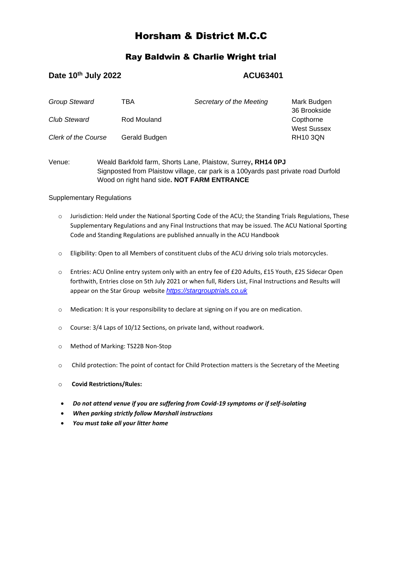# Horsham & District M.C.C

## Ray Baldwin & Charlie Wright trial

## **Date 10<sup>th</sup> July 2022 ACU63401**

| <b>Group Steward</b>       | TBA           | Secretary of the Meeting | Mark Budgen<br>36 Brookside     |
|----------------------------|---------------|--------------------------|---------------------------------|
| <b>Club Steward</b>        | Rod Mouland   |                          | Copthorne<br><b>West Sussex</b> |
| <b>Clerk of the Course</b> | Gerald Budgen |                          | <b>RH10 3QN</b>                 |

Venue: Weald Barkfold farm, Shorts Lane, Plaistow, Surrey**, RH14 0PJ** Signposted from Plaistow village, car park is a 100yards past private road Durfold Wood on right hand side**. NOT FARM ENTRANCE**

## Supplementary Regulations

- o Jurisdiction: Held under the National Sporting Code of the ACU; the Standing Trials Regulations, These Supplementary Regulations and any Final Instructions that may be issued. The ACU National Sporting Code and Standing Regulations are published annually in the ACU Handbook
- o Eligibility: Open to all Members of constituent clubs of the ACU driving solo trials motorcycles.
- o Entries: ACU Online entry system only with an entry fee of £20 Adults, £15 Youth, £25 Sidecar Open forthwith, Entries close on 5th July 2021 or when full, Riders List, Final Instructions and Results will appear on the Star Group website *[https://stargrouptrials.co.uk](https://stargrouptrials.co.uk/)*
- o Medication: It is your responsibility to declare at signing on if you are on medication.
- o Course: 3/4 Laps of 10/12 Sections, on private land, without roadwork.
- o Method of Marking: TS22B Non-Stop
- o Child protection: The point of contact for Child Protection matters is the Secretary of the Meeting
- o **Covid Restrictions/Rules:**
- *Do not attend venue if you are suffering from Covid-19 symptoms or if self-isolating*
- *When parking strictly follow Marshall instructions*
- *You must take all your litter home*